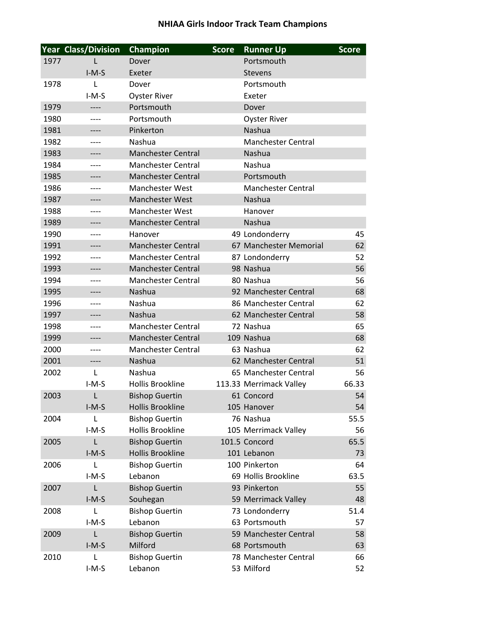## **NHIAA Girls Indoor Track Team Champions**

|      | <b>Year Class/Division</b> | <b>Champion</b>           | <b>Score</b> | <b>Runner Up</b>          | <b>Score</b> |
|------|----------------------------|---------------------------|--------------|---------------------------|--------------|
| 1977 | L                          | Dover                     |              | Portsmouth                |              |
|      | $I-M-S$                    | Exeter                    |              | <b>Stevens</b>            |              |
| 1978 | L                          | Dover                     |              | Portsmouth                |              |
|      | $I-M-S$                    | <b>Oyster River</b>       |              | Exeter                    |              |
| 1979 | ----                       | Portsmouth                |              | Dover                     |              |
| 1980 |                            | Portsmouth                |              | <b>Oyster River</b>       |              |
| 1981 | ----                       | Pinkerton                 |              | Nashua                    |              |
| 1982 | ----                       | Nashua                    |              | <b>Manchester Central</b> |              |
| 1983 |                            | <b>Manchester Central</b> |              | Nashua                    |              |
| 1984 | ----                       | <b>Manchester Central</b> |              | Nashua                    |              |
| 1985 | ----                       | <b>Manchester Central</b> |              | Portsmouth                |              |
| 1986 | ----                       | <b>Manchester West</b>    |              | <b>Manchester Central</b> |              |
| 1987 | ----                       | <b>Manchester West</b>    |              | Nashua                    |              |
| 1988 | ----                       | <b>Manchester West</b>    |              | Hanover                   |              |
| 1989 |                            | <b>Manchester Central</b> |              | Nashua                    |              |
| 1990 | ----                       | Hanover                   |              | 49 Londonderry            | 45           |
| 1991 | ----                       | <b>Manchester Central</b> |              | 67 Manchester Memorial    | 62           |
| 1992 |                            | <b>Manchester Central</b> |              | 87 Londonderry            | 52           |
| 1993 | ----                       | <b>Manchester Central</b> |              | 98 Nashua                 | 56           |
| 1994 | ----                       | <b>Manchester Central</b> |              | 80 Nashua                 | 56           |
| 1995 |                            | Nashua                    |              | 92 Manchester Central     | 68           |
| 1996 | ----                       | Nashua                    |              | 86 Manchester Central     | 62           |
| 1997 | ----                       | Nashua                    |              | 62 Manchester Central     | 58           |
| 1998 | ----                       | <b>Manchester Central</b> |              | 72 Nashua                 | 65           |
| 1999 | ----                       | <b>Manchester Central</b> |              | 109 Nashua                | 68           |
| 2000 | ----                       | <b>Manchester Central</b> |              | 63 Nashua                 | 62           |
| 2001 | ----                       | Nashua                    |              | 62 Manchester Central     | 51           |
| 2002 | L                          | Nashua                    |              | 65 Manchester Central     | 56           |
|      | $I-M-S$                    | <b>Hollis Brookline</b>   |              | 113.33 Merrimack Valley   | 66.33        |
| 2003 | L                          | <b>Bishop Guertin</b>     |              | 61 Concord                | 54           |
|      | $I-M-S$                    | <b>Hollis Brookline</b>   |              | 105 Hanover               | 54           |
| 2004 | L                          | <b>Bishop Guertin</b>     |              | 76 Nashua                 | 55.5         |
|      | $I-M-S$                    | <b>Hollis Brookline</b>   |              | 105 Merrimack Valley      | 56           |
| 2005 | L                          | <b>Bishop Guertin</b>     |              | 101.5 Concord             | 65.5         |
|      | $I-M-S$                    | <b>Hollis Brookline</b>   |              | 101 Lebanon               | 73           |
| 2006 | L                          | <b>Bishop Guertin</b>     |              | 100 Pinkerton             | 64           |
|      | $I-M-S$                    | Lebanon                   |              | 69 Hollis Brookline       | 63.5         |
| 2007 | L                          | <b>Bishop Guertin</b>     |              | 93 Pinkerton              | 55           |
|      | $I-M-S$                    | Souhegan                  |              | 59 Merrimack Valley       | 48           |
| 2008 | L                          | <b>Bishop Guertin</b>     |              | 73 Londonderry            | 51.4         |
|      | $I-M-S$                    | Lebanon                   |              | 63 Portsmouth             | 57           |
| 2009 | L                          | <b>Bishop Guertin</b>     |              | 59 Manchester Central     | 58           |
|      | $I-M-S$                    | Milford                   |              | 68 Portsmouth             | 63           |
| 2010 | L                          | <b>Bishop Guertin</b>     |              | 78 Manchester Central     | 66           |
|      | $I-M-S$                    | Lebanon                   |              | 53 Milford                | 52           |